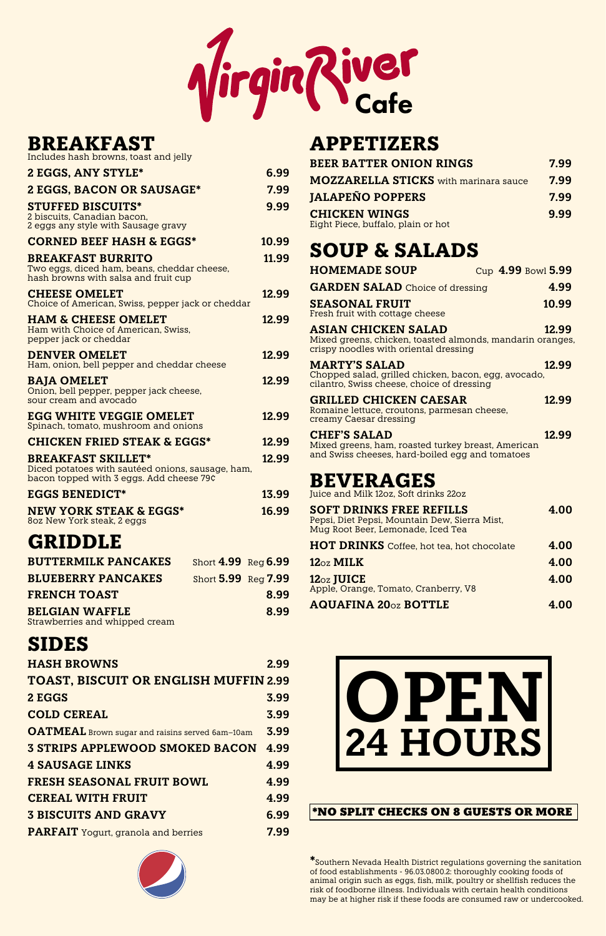| <b>BREAKFAST</b><br>Includes hash browns, toast and jelly                                                                 |                            |       |
|---------------------------------------------------------------------------------------------------------------------------|----------------------------|-------|
| <b>2 EGGS, ANY STYLE*</b>                                                                                                 |                            | 6.99  |
| <b>2 EGGS, BACON OR SAUSAGE*</b>                                                                                          |                            | 7.99  |
| <b>STUFFED BISCUITS*</b><br>2 biscuits, Canadian bacon,<br>2 eggs any style with Sausage gravy                            |                            | 9.99  |
| <b>CORNED BEEF HASH &amp; EGGS*</b>                                                                                       |                            | 10.99 |
| <b>BREAKFAST BURRITO</b><br>Two eggs, diced ham, beans, cheddar cheese,<br>hash browns with salsa and fruit cup           |                            | 11.99 |
| <b>CHEESE OMELET</b><br>Choice of American, Swiss, pepper jack or cheddar                                                 |                            | 12.99 |
| <b>HAM &amp; CHEESE OMELET</b><br>Ham with Choice of American, Swiss,<br>pepper jack or cheddar                           |                            | 12.99 |
| <b>DENVER OMELET</b><br>Ham, onion, bell pepper and cheddar cheese                                                        |                            | 12.99 |
| <b>BAJA OMELET</b><br>Onion, bell pepper, pepper jack cheese,<br>sour cream and avocado                                   |                            | 12.99 |
| <b>EGG WHITE VEGGIE OMELET</b><br>Spinach, tomato, mushroom and onions                                                    |                            | 12.99 |
| <b>CHICKEN FRIED STEAK &amp; EGGS*</b>                                                                                    |                            | 12.99 |
| <b>BREAKFAST SKILLET*</b><br>Diced potatoes with sautéed onions, sausage, ham<br>bacon topped with 3 eggs. Add cheese 79¢ |                            | 12.99 |
| <b>EGGS BENEDICT*</b>                                                                                                     |                            | 13.99 |
| <b>NEW YORK STEAK &amp; EGGS*</b><br>80z New York steak, 2 eggs                                                           |                            | 16.99 |
| <b>GRIDDLE</b>                                                                                                            |                            |       |
| <b>BUTTERMILK PANCAKES</b>                                                                                                | Short 4.99 Reg 6.99        |       |
| <b>BLUEBERRY PANCAKES</b>                                                                                                 | <b>Short 5.99 Reg 7.99</b> |       |
| <b>FRENCH TOAST</b>                                                                                                       |                            | 8.99  |
| <b>BELGIAN WAFFLE</b><br>Strawberries and whipped cream                                                                   |                            | 8.99  |

# **SIDES**

**HASH BROWNS 2.99 TOAST, BISCUIT OR ENGLISH MUFFIN 2.99**

| 2 EGGS                                                 | 3.99 |
|--------------------------------------------------------|------|
| <b>COLD CEREAL</b>                                     | 3.99 |
| <b>OATMEAL</b> Brown sugar and raisins served 6am-10am | 3.99 |
| <b>3 STRIPS APPLEWOOD SMOKED BACON</b>                 | 4.99 |
| <b>4 SAUSAGE LINKS</b>                                 | 4.99 |
| <b>FRESH SEASONAL FRUIT BOWL</b>                       | 4.99 |
| <b>CEREAL WITH FRUIT</b>                               | 4.99 |
| <b>3 BISCUITS AND GRAVY</b>                            | 6.99 |
| <b>PARFAIT</b> Yogurt, granola and berries             | 7.99 |



# **APPETIZERS**

| <b>BEER BATTER ONION RINGS</b>                             | 7.99 |
|------------------------------------------------------------|------|
| <b>MOZZARELLA STICKS</b> with marinara sauce               | 7.99 |
| <b>JALAPEÑO POPPERS</b>                                    | 7.99 |
| <b>CHICKEN WINGS</b><br>Eight Piece, buffalo, plain or hot | 9.99 |

# **SOUP & SALADS**

| <b>HOMEMADE SOUP</b>                                                                                                             | Cup 4.99 Bowl 5.99 |
|----------------------------------------------------------------------------------------------------------------------------------|--------------------|
| <b>GARDEN SALAD</b> Choice of dressing                                                                                           | 4.99               |
| <b>SEASONAL FRUIT</b><br>Fresh fruit with cottage cheese                                                                         | 10.99              |
| <b>ASIAN CHICKEN SALAD</b><br>Mixed greens, chicken, toasted almonds, mandarin oranges,<br>crispy noodles with oriental dressing | 12.99              |
| <b>MARTY'S SALAD</b><br>Chopped salad, grilled chicken, bacon, egg, avocado,<br>cilantro, Swiss cheese, choice of dressing       | 12.99              |
| <b>GRILLED CHICKEN CAESAR</b><br>Romaine lettuce, croutons, parmesan cheese,<br>creamy Caesar dressing                           | 12.99              |
| <b>CHEF'S SALAD</b><br>Mixed greens, ham, roasted turkey breast, American<br>and Swiss cheeses, hard-boiled egg and tomatoes     | 12.99              |
| <b>BEVERAGES</b><br>Juice and Milk 12oz, Soft drinks 22oz                                                                        |                    |
| <b>SOFT DRINKS FREE REFILLS</b><br>Pepsi, Diet Pepsi, Mountain Dew, Sierra Mist,<br>Mug Root Beer, Lemonade, Iced Tea            | 4.00               |
| <b>HOT DRINKS</b> Coffee, hot tea, hot chocolate                                                                                 | 4.00               |
| $12_{\text{OZ}}$ MILK                                                                                                            | 4.00               |
| $12_{\text{OZ}}$ JUICE<br>Apple, Orange, Tomato, Cranberry, V8                                                                   | 4.00               |
| <b>AQUAFINA 200z BOTTLE</b>                                                                                                      | 4.00               |
|                                                                                                                                  |                    |

**\***Southern Nevada Health District regulations governing the sanitation of food establishments - 96.03.0800.2: thoroughly cooking foods of animal origin such as eggs, fish, milk, poultry or shellfish reduces the risk of foodborne illness. Individuals with certain health conditions may be at higher risk if these foods are consumed raw or undercooked.

#### \*NO SPLIT CHECKS ON 8 GUESTS OR MORE